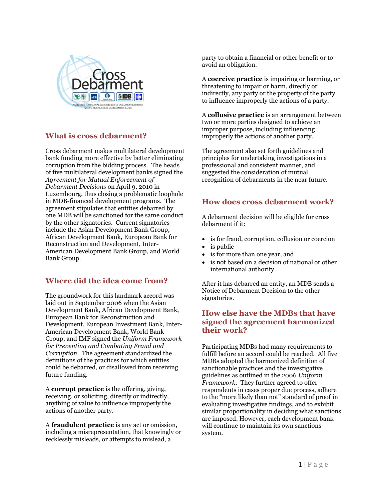

## **What is cross debarment?**

Cross debarment makes multilateral development bank funding more effective by better eliminating corruption from the bidding process. The heads of five multilateral development banks signed the *Agreement for Mutual Enforcement of Debarment Decisions* on April 9, 2010 in Luxembourg, thus closing a problematic loophole in MDB-financed development programs. The agreement stipulates that entities debarred by one MDB will be sanctioned for the same conduct by the other signatories. Current signatories include the Asian Development Bank Group, African Development Bank, European Bank for Reconstruction and Development, Inter-American Development Bank Group, and World Bank Group.

# **Where did the idea come from?**

The groundwork for this landmark accord was laid out in September 2006 when the Asian Development Bank, African Development Bank, European Bank for Reconstruction and Development, European Investment Bank, Inter-American Development Bank, World Bank Group, and IMF signed the *Uniform Framework for Preventing and Combating Fraud and Corruption.* The agreement standardized the definitions of the practices for which entities could be debarred, or disallowed from receiving future funding.

A **corrupt practice** is the offering, giving, receiving, or soliciting, directly or indirectly, anything of value to influence improperly the actions of another party.

A **fraudulent practice** is any act or omission, including a misrepresentation, that knowingly or recklessly misleads, or attempts to mislead, a

party to obtain a financial or other benefit or to avoid an obligation.

A **coercive practice** is impairing or harming, or threatening to impair or harm, directly or indirectly, any party or the property of the party to influence improperly the actions of a party.

A **collusive practice** is an arrangement between two or more parties designed to achieve an improper purpose, including influencing improperly the actions of another party.

The agreement also set forth guidelines and principles for undertaking investigations in a professional and consistent manner, and suggested the consideration of mutual recognition of debarments in the near future.

## **How does cross debarment work?**

A debarment decision will be eligible for cross debarment if it:

- is for fraud, corruption, collusion or coercion
- is public
- is for more than one year, and
- is not based on a decision of national or other international authority

After it has debarred an entity, an MDB sends a Notice of Debarment Decision to the other signatories.

### **How else have the MDBs that have signed the agreement harmonized their work?**

Participating MDBs had many requirements to fulfill before an accord could be reached. All five MDBs adopted the harmonized definition of sanctionable practices and the investigative guidelines as outlined in the 2006 *Uniform Framework.* They further agreed to offer respondents in cases proper due process, adhere to the "more likely than not" standard of proof in evaluating investigative findings, and to exhibit similar proportionality in deciding what sanctions are imposed. However, each development bank will continue to maintain its own sanctions system.